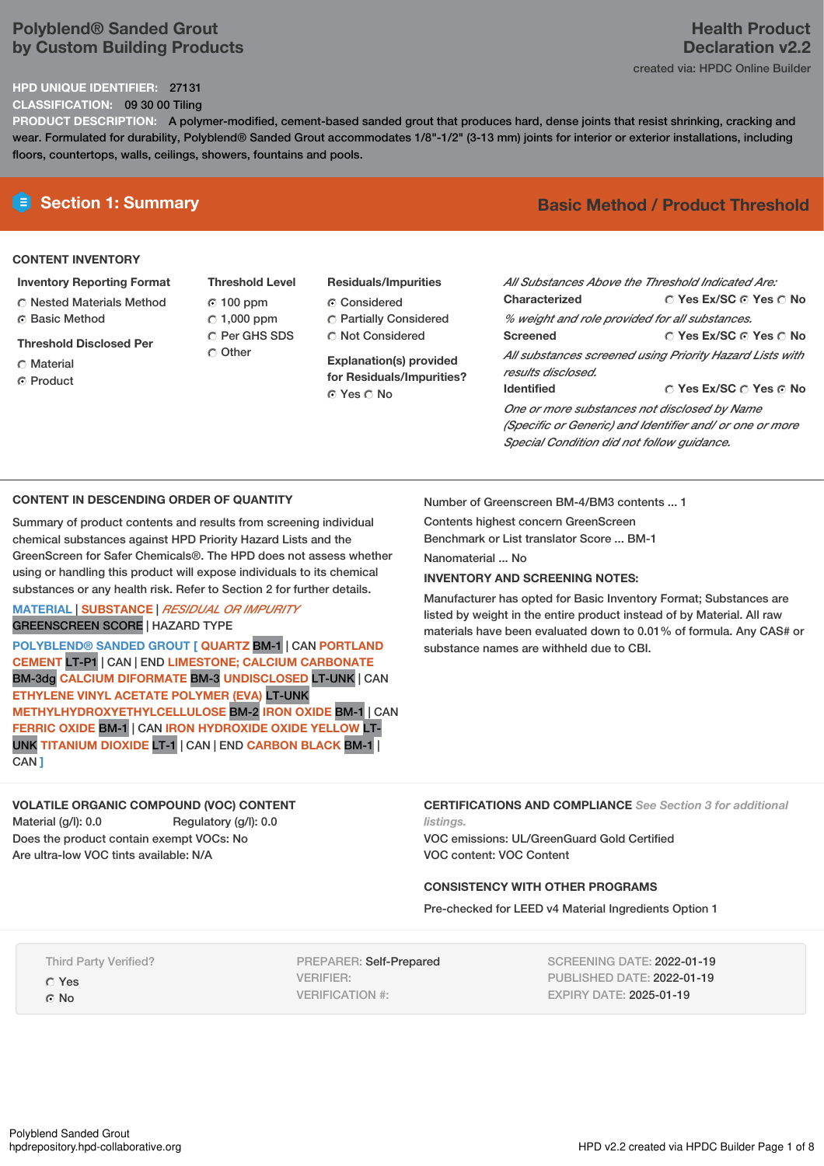# **Polyblend® Sanded Grout by Custom Building Products**

# **HPD UNIQUE IDENTIFIER:** 27131

**CLASSIFICATION:** 09 30 00 Tiling

**PRODUCT DESCRIPTION:** A polymer-modified, cement-based sanded grout that produces hard, dense joints that resist shrinking, cracking and wear. Formulated for durability, Polyblend® Sanded Grout accommodates 1/8"-1/2" (3-13 mm) joints for interior or exterior installations, including floors, countertops, walls, ceilings, showers, fountains and pools.

# **CONTENT INVENTORY**

### **Inventory Reporting Format**

Nested Materials Method **C** Basic Method

### **Threshold Disclosed Per**

- Material
- ⊙ Product
- **Threshold Level** 100 ppm  $C$  1,000 ppm C Per GHS SDS Other
- **Residuals/Impurities** Considered Partially Considered C Not Considered

**Explanation(s) provided for Residuals/Impurities?** © Yes ∩ No

# **E** Section 1: Summary **Basic Method / Product Threshold**

| All Substances Above the Threshold Indicated Are:        |                                        |  |  |  |  |  |
|----------------------------------------------------------|----------------------------------------|--|--|--|--|--|
|                                                          |                                        |  |  |  |  |  |
| Characterized                                            | ∩ Yes Ex/SC ∩ Yes ∩ No                 |  |  |  |  |  |
| % weight and role provided for all substances.           |                                        |  |  |  |  |  |
| <b>Screened</b>                                          | ∩ Yes Ex/SC ∩ Yes ∩ No                 |  |  |  |  |  |
| All substances screened using Priority Hazard Lists with |                                        |  |  |  |  |  |
| results disclosed.                                       |                                        |  |  |  |  |  |
| <b>Identified</b>                                        | $\cap$ Yes Ex/SC $\cap$ Yes $\odot$ No |  |  |  |  |  |
| One or more substances not disclosed by Name             |                                        |  |  |  |  |  |
| (Specific or Generic) and Identifier and/ or one or more |                                        |  |  |  |  |  |
| Special Condition did not follow quidance.               |                                        |  |  |  |  |  |

### **CONTENT IN DESCENDING ORDER OF QUANTITY**

Summary of product contents and results from screening individual chemical substances against HPD Priority Hazard Lists and the GreenScreen for Safer Chemicals®. The HPD does not assess whether using or handling this product will expose individuals to its chemical substances or any health risk. Refer to Section 2 for further details.

### **MATERIAL** | **SUBSTANCE** | *RESIDUAL OR IMPURITY* GREENSCREEN SCORE | HAZARD TYPE

**POLYBLEND® SANDED GROUT [ QUARTZ** BM-1 | CAN **PORTLAND CEMENT** LT-P1 | CAN | END **LIMESTONE; CALCIUM CARBONATE** BM-3dg **CALCIUM DIFORMATE** BM-3 **UNDISCLOSED** LT-UNK | CAN **ETHYLENE VINYL ACETATE POLYMER (EVA)** LT-UNK **METHYLHYDROXYETHYLCELLULOSE** BM-2 **IRON OXIDE** BM-1 | CAN **FERRIC OXIDE** BM-1 | CAN **IRON HYDROXIDE OXIDE YELLOW** LT-UNK **TITANIUM DIOXIDE** LT-1 | CAN | END **CARBON BLACK** BM-1 | CAN **]**

# **VOLATILE ORGANIC COMPOUND (VOC) CONTENT**

Material (g/l): 0.0 Regulatory (g/l): 0.0 Does the product contain exempt VOCs: No Are ultra-low VOC tints available: N/A

Number of Greenscreen BM-4/BM3 contents ... 1

Contents highest concern GreenScreen Benchmark or List translator Score ... BM-1

Nanomaterial No.

### **INVENTORY AND SCREENING NOTES:**

Manufacturer has opted for Basic Inventory Format; Substances are listed by weight in the entire product instead of by Material. All raw materials have been evaluated down to 0.01% of formula. Any CAS# or substance names are withheld due to CBI.

### **CERTIFICATIONS AND COMPLIANCE** *See Section 3 for additional listings.*

VOC emissions: UL/GreenGuard Gold Certified VOC content: VOC Content

# **CONSISTENCY WITH OTHER PROGRAMS**

Pre-checked for LEED v4 Material Ingredients Option 1

Third Party Verified?

- Yes
- © No

PREPARER: Self-Prepared VERIFIER: VERIFICATION #:

SCREENING DATE: 2022-01-19 PUBLISHED DATE: 2022-01-19 EXPIRY DATE: 2025-01-19

# **Health Product Declaration v2.2**

created via: HPDC Online Builder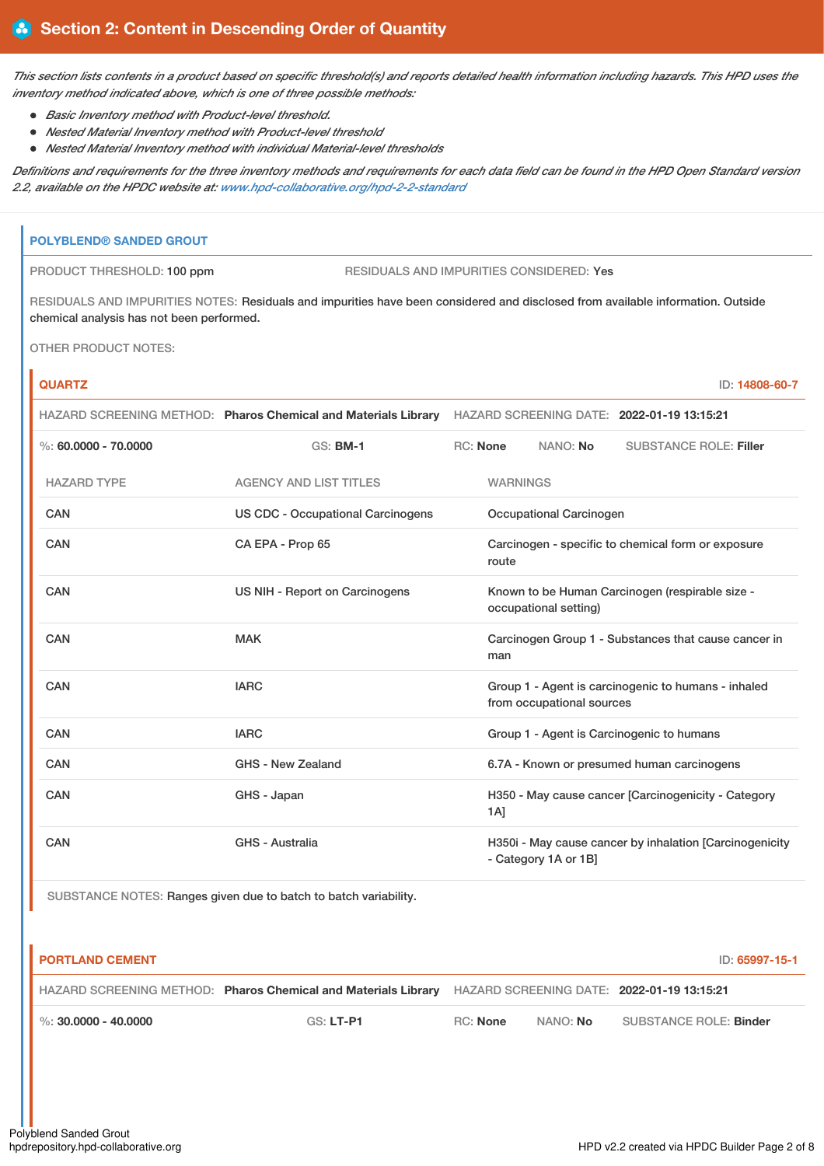This section lists contents in a product based on specific threshold(s) and reports detailed health information including hazards. This HPD uses the *inventory method indicated above, which is one of three possible methods:*

- *Basic Inventory method with Product-level threshold.*
- *Nested Material Inventory method with Product-level threshold*
- *Nested Material Inventory method with individual Material-level thresholds*

Definitions and requirements for the three inventory methods and requirements for each data field can be found in the HPD Open Standard version *2.2, available on the HPDC website at: [www.hpd-collaborative.org/hpd-2-2-standard](https://www.hpd-collaborative.org/hpd-2-2-standard)*

# **POLYBLEND® SANDED GROUT**

PRODUCT THRESHOLD: 100 ppm RESIDUALS AND IMPURITIES CONSIDERED: Yes

RESIDUALS AND IMPURITIES NOTES: Residuals and impurities have been considered and disclosed from available information. Outside chemical analysis has not been performed.

OTHER PRODUCT NOTES:

| <b>QUARTZ</b>            |                                                                |                                                                          |                                                                                  |                         | ID: 14808-60-7                                          |  |
|--------------------------|----------------------------------------------------------------|--------------------------------------------------------------------------|----------------------------------------------------------------------------------|-------------------------|---------------------------------------------------------|--|
|                          | HAZARD SCREENING METHOD: Pharos Chemical and Materials Library |                                                                          |                                                                                  |                         | HAZARD SCREENING DATE: 2022-01-19 13:15:21              |  |
| $\%$ : 60.0000 - 70.0000 | <b>GS: BM-1</b>                                                | RC: None                                                                 |                                                                                  | NANO: No                | <b>SUBSTANCE ROLE: Filler</b>                           |  |
| <b>HAZARD TYPE</b>       | <b>AGENCY AND LIST TITLES</b>                                  |                                                                          | <b>WARNINGS</b>                                                                  |                         |                                                         |  |
| <b>CAN</b>               | <b>US CDC - Occupational Carcinogens</b>                       |                                                                          |                                                                                  | Occupational Carcinogen |                                                         |  |
| <b>CAN</b>               | CA EPA - Prop 65                                               | Carcinogen - specific to chemical form or exposure<br>route              |                                                                                  |                         |                                                         |  |
| <b>CAN</b>               | US NIH - Report on Carcinogens                                 | Known to be Human Carcinogen (respirable size -<br>occupational setting) |                                                                                  |                         |                                                         |  |
| CAN                      | <b>MAK</b>                                                     |                                                                          | man                                                                              |                         | Carcinogen Group 1 - Substances that cause cancer in    |  |
| <b>CAN</b>               | <b>IARC</b>                                                    |                                                                          | Group 1 - Agent is carcinogenic to humans - inhaled<br>from occupational sources |                         |                                                         |  |
| CAN                      | <b>IARC</b>                                                    | Group 1 - Agent is Carcinogenic to humans                                |                                                                                  |                         |                                                         |  |
| <b>CAN</b>               | <b>GHS - New Zealand</b>                                       |                                                                          | 6.7A - Known or presumed human carcinogens                                       |                         |                                                         |  |
| CAN                      | GHS - Japan                                                    |                                                                          | 1A                                                                               |                         | H350 - May cause cancer [Carcinogenicity - Category     |  |
| <b>CAN</b>               | <b>GHS - Australia</b>                                         |                                                                          |                                                                                  | - Category 1A or 1B]    | H350i - May cause cancer by inhalation [Carcinogenicity |  |

SUBSTANCE NOTES: Ranges given due to batch to batch variability.

| <b>PORTLAND CEMENT</b>   |                                                                                                           |                 |                 | ID: 65997-15-1         |
|--------------------------|-----------------------------------------------------------------------------------------------------------|-----------------|-----------------|------------------------|
|                          | HAZARD SCREENING METHOD: Pharos Chemical and Materials Library HAZARD SCREENING DATE: 2022-01-19 13:15:21 |                 |                 |                        |
| $\%$ : 30.0000 - 40.0000 | $GS: LT-P1$                                                                                               | <b>RC:</b> None | NANO: <b>No</b> | SUBSTANCE ROLE: Binder |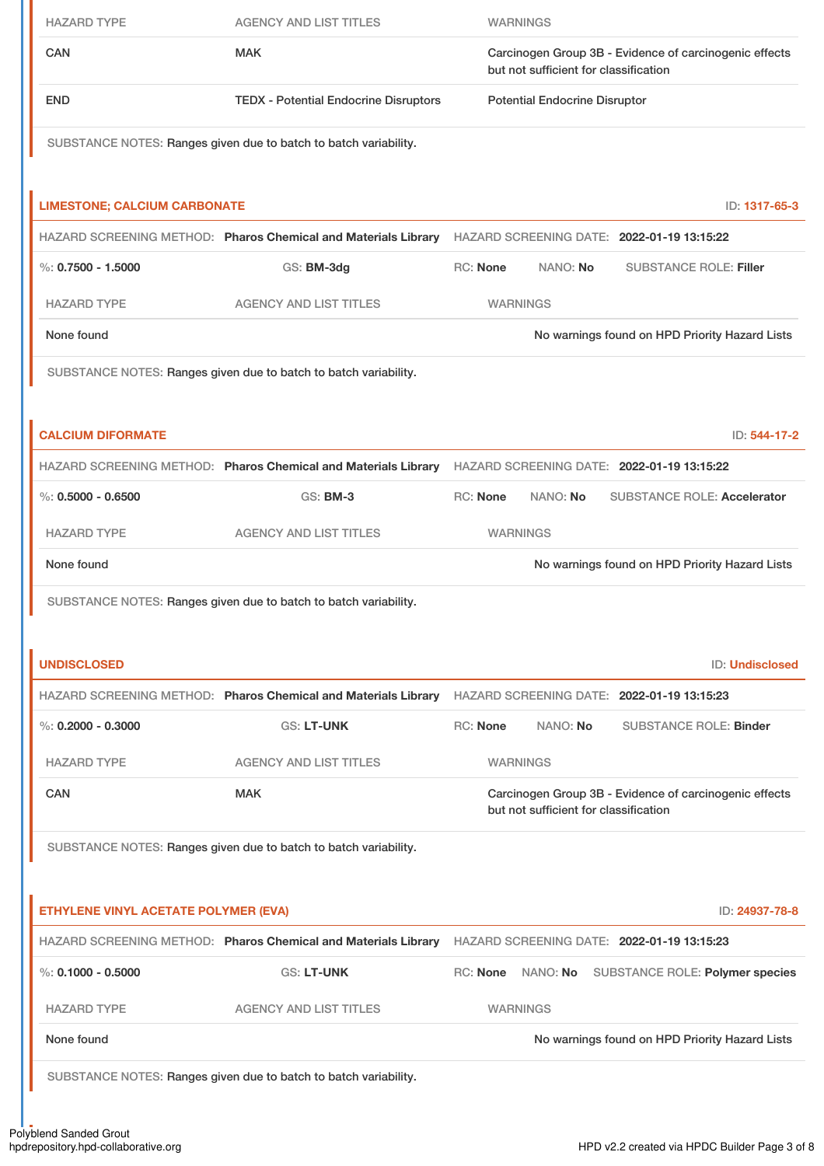| <b>HAZARD TYPE</b>                   | <b>AGENCY AND LIST TITLES</b>                                                                             |                                                                                                 | <b>WARNINGS</b>                       |  |                                                        |                 |
|--------------------------------------|-----------------------------------------------------------------------------------------------------------|-------------------------------------------------------------------------------------------------|---------------------------------------|--|--------------------------------------------------------|-----------------|
| <b>CAN</b>                           | <b>MAK</b>                                                                                                | Carcinogen Group 3B - Evidence of carcinogenic effects<br>but not sufficient for classification |                                       |  |                                                        |                 |
| <b>END</b>                           | <b>TEDX - Potential Endocrine Disruptors</b>                                                              | <b>Potential Endocrine Disruptor</b>                                                            |                                       |  |                                                        |                 |
|                                      | SUBSTANCE NOTES: Ranges given due to batch to batch variability.                                          |                                                                                                 |                                       |  |                                                        |                 |
| <b>LIMESTONE; CALCIUM CARBONATE</b>  |                                                                                                           |                                                                                                 |                                       |  |                                                        | ID: 1317-65-3   |
|                                      | HAZARD SCREENING METHOD: Pharos Chemical and Materials Library HAZARD SCREENING DATE: 2022-01-19 13:15:22 |                                                                                                 |                                       |  |                                                        |                 |
| $\%: 0.7500 - 1.5000$                | GS: BM-3dg                                                                                                | RC: None                                                                                        | NANO: No                              |  | <b>SUBSTANCE ROLE: Filler</b>                          |                 |
| <b>HAZARD TYPE</b>                   | <b>AGENCY AND LIST TITLES</b>                                                                             |                                                                                                 | <b>WARNINGS</b>                       |  |                                                        |                 |
| None found                           |                                                                                                           |                                                                                                 |                                       |  | No warnings found on HPD Priority Hazard Lists         |                 |
|                                      | SUBSTANCE NOTES: Ranges given due to batch to batch variability.                                          |                                                                                                 |                                       |  |                                                        |                 |
| <b>CALCIUM DIFORMATE</b>             |                                                                                                           |                                                                                                 |                                       |  |                                                        | ID: 544-17-2    |
|                                      | HAZARD SCREENING METHOD: Pharos Chemical and Materials Library HAZARD SCREENING DATE: 2022-01-19 13:15:22 |                                                                                                 |                                       |  |                                                        |                 |
| $\%: 0.5000 - 0.6500$                | <b>GS: BM-3</b>                                                                                           | RC: None                                                                                        | NANO: No                              |  | <b>SUBSTANCE ROLE: Accelerator</b>                     |                 |
| <b>HAZARD TYPE</b>                   | <b>AGENCY AND LIST TITLES</b>                                                                             |                                                                                                 | <b>WARNINGS</b>                       |  |                                                        |                 |
| None found                           |                                                                                                           |                                                                                                 |                                       |  | No warnings found on HPD Priority Hazard Lists         |                 |
|                                      | SUBSTANCE NOTES: Ranges given due to batch to batch variability.                                          |                                                                                                 |                                       |  |                                                        |                 |
| <b>UNDISCLOSED</b>                   |                                                                                                           |                                                                                                 |                                       |  |                                                        | ID: Undisclosed |
|                                      | HAZARD SCREENING METHOD: Pharos Chemical and Materials Library                                            |                                                                                                 |                                       |  | HAZARD SCREENING DATE: 2022-01-19 13:15:23             |                 |
| %: $0.2000 - 0.3000$                 | <b>GS: LT-UNK</b>                                                                                         | RC: None                                                                                        | NANO: No                              |  | <b>SUBSTANCE ROLE: Binder</b>                          |                 |
| <b>HAZARD TYPE</b>                   | <b>AGENCY AND LIST TITLES</b>                                                                             |                                                                                                 | <b>WARNINGS</b>                       |  |                                                        |                 |
| <b>CAN</b>                           | <b>MAK</b>                                                                                                |                                                                                                 | but not sufficient for classification |  | Carcinogen Group 3B - Evidence of carcinogenic effects |                 |
|                                      | SUBSTANCE NOTES: Ranges given due to batch to batch variability.                                          |                                                                                                 |                                       |  |                                                        |                 |
| ETHYLENE VINYL ACETATE POLYMER (EVA) |                                                                                                           |                                                                                                 |                                       |  |                                                        | ID: 24937-78-8  |
|                                      | HAZARD SCREENING METHOD: Pharos Chemical and Materials Library HAZARD SCREENING DATE: 2022-01-19 13:15:23 |                                                                                                 |                                       |  |                                                        |                 |
| $\%$ : 0.1000 - 0.5000               | <b>GS: LT-UNK</b>                                                                                         |                                                                                                 | RC: None NANO: No                     |  | SUBSTANCE ROLE: Polymer species                        |                 |
| <b>HAZARD TYPE</b>                   | <b>AGENCY AND LIST TITLES</b>                                                                             |                                                                                                 | <b>WARNINGS</b>                       |  |                                                        |                 |
| None found                           |                                                                                                           |                                                                                                 |                                       |  | No warnings found on HPD Priority Hazard Lists         |                 |
|                                      | SUBSTANCE NOTES: Ranges given due to batch to batch variability.                                          |                                                                                                 |                                       |  |                                                        |                 |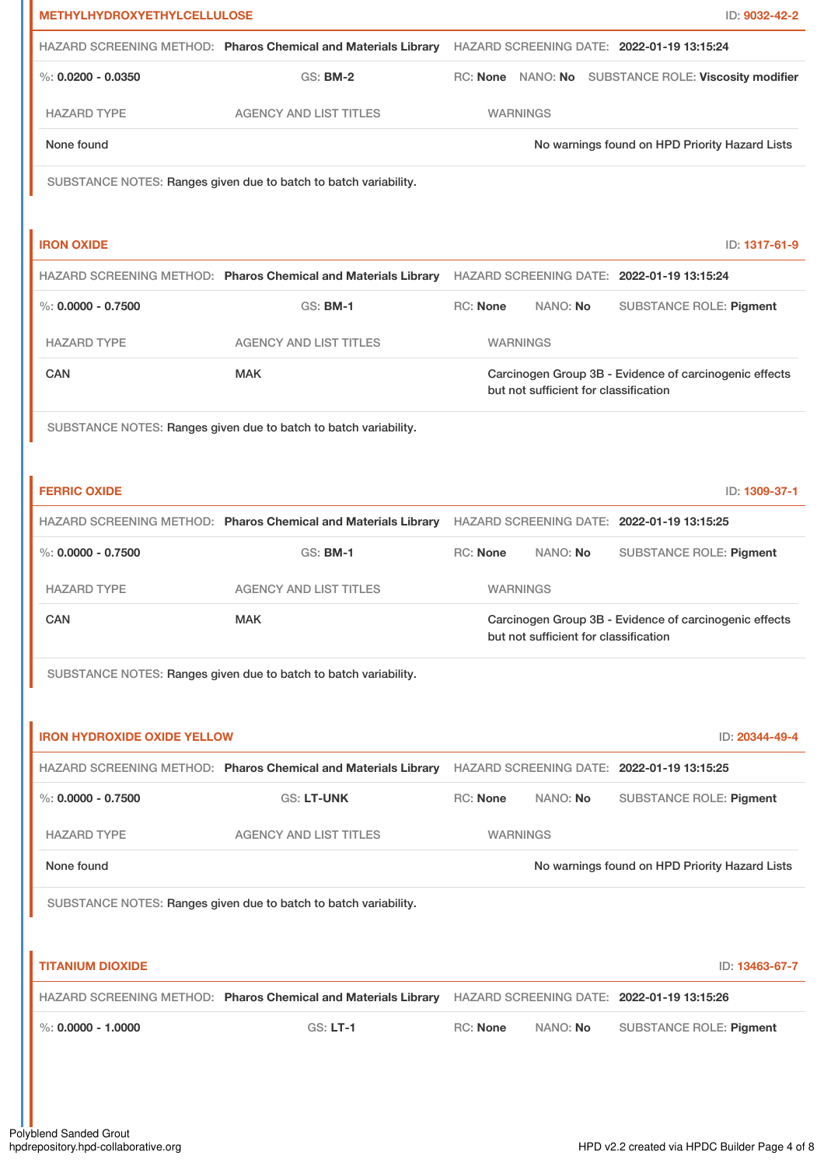| <b>METHYLHYDROXYETHYLCELLULOSE</b> |                                                                                                           |                 |                                       | ID: 9032-42-2                                          |
|------------------------------------|-----------------------------------------------------------------------------------------------------------|-----------------|---------------------------------------|--------------------------------------------------------|
|                                    | HAZARD SCREENING METHOD: Pharos Chemical and Materials Library HAZARD SCREENING DATE: 2022-01-19 13:15:24 |                 |                                       |                                                        |
| $\%$ : 0.0200 - 0.0350             | <b>GS: BM-2</b>                                                                                           |                 |                                       | RC: None NANO: No SUBSTANCE ROLE: Viscosity modifier   |
| <b>HAZARD TYPE</b>                 | <b>AGENCY AND LIST TITLES</b>                                                                             |                 | <b>WARNINGS</b>                       |                                                        |
| None found                         |                                                                                                           |                 |                                       | No warnings found on HPD Priority Hazard Lists         |
|                                    | SUBSTANCE NOTES: Ranges given due to batch to batch variability.                                          |                 |                                       |                                                        |
|                                    |                                                                                                           |                 |                                       |                                                        |
| <b>IRON OXIDE</b>                  |                                                                                                           |                 |                                       | ID: 1317-61-9                                          |
|                                    | HAZARD SCREENING METHOD: Pharos Chemical and Materials Library HAZARD SCREENING DATE: 2022-01-19 13:15:24 |                 |                                       |                                                        |
| $\%$ : 0.0000 - 0.7500             | <b>GS: BM-1</b>                                                                                           | <b>RC: None</b> | NANO: No                              | SUBSTANCE ROLE: Pigment                                |
| <b>HAZARD TYPE</b>                 | <b>AGENCY AND LIST TITLES</b>                                                                             |                 | <b>WARNINGS</b>                       |                                                        |
| CAN                                | <b>MAK</b>                                                                                                |                 |                                       | Carcinogen Group 3B - Evidence of carcinogenic effects |
|                                    |                                                                                                           |                 | but not sufficient for classification |                                                        |
|                                    | SUBSTANCE NOTES: Ranges given due to batch to batch variability.                                          |                 |                                       |                                                        |
|                                    |                                                                                                           |                 |                                       |                                                        |
| <b>FERRIC OXIDE</b>                |                                                                                                           |                 |                                       | ID: 1309-37-1                                          |
|                                    | HAZARD SCREENING METHOD: Pharos Chemical and Materials Library HAZARD SCREENING DATE: 2022-01-19 13:15:25 |                 |                                       |                                                        |
| $\%$ : 0.0000 - 0.7500             | <b>GS: BM-1</b>                                                                                           | RC: None        | NANO: No                              | <b>SUBSTANCE ROLE: Pigment</b>                         |
| <b>HAZARD TYPE</b>                 | <b>AGENCY AND LIST TITLES</b>                                                                             |                 | <b>WARNINGS</b>                       |                                                        |
| CAN                                | <b>MAK</b>                                                                                                |                 | but not sufficient for classification | Carcinogen Group 3B - Evidence of carcinogenic effects |
|                                    | SUBSTANCE NOTES: Ranges given due to batch to batch variability.                                          |                 |                                       |                                                        |
|                                    |                                                                                                           |                 |                                       |                                                        |
| <b>IRON HYDROXIDE OXIDE YELLOW</b> |                                                                                                           |                 |                                       | ID: 20344-49-4                                         |
|                                    | HAZARD SCREENING METHOD: Pharos Chemical and Materials Library HAZARD SCREENING DATE: 2022-01-19 13:15:25 |                 |                                       |                                                        |
| $\%$ : 0.0000 - 0.7500             | <b>GS: LT-UNK</b>                                                                                         | <b>RC: None</b> | NANO: No                              | <b>SUBSTANCE ROLE: Pigment</b>                         |
| <b>HAZARD TYPE</b>                 | <b>AGENCY AND LIST TITLES</b>                                                                             |                 | <b>WARNINGS</b>                       |                                                        |
| None found                         |                                                                                                           |                 |                                       | No warnings found on HPD Priority Hazard Lists         |
|                                    | SUBSTANCE NOTES: Ranges given due to batch to batch variability.                                          |                 |                                       |                                                        |
|                                    |                                                                                                           |                 |                                       |                                                        |
| <b>TITANIUM DIOXIDE</b>            |                                                                                                           |                 |                                       | ID: 13463-67-7                                         |
|                                    | HAZARD SCREENING METHOD: Pharos Chemical and Materials Library HAZARD SCREENING DATE: 2022-01-19 13:15:26 |                 |                                       |                                                        |
| $\%$ : 0.0000 - 1.0000             | <b>GS: LT-1</b>                                                                                           | RC: None        | NANO: No                              | <b>SUBSTANCE ROLE: Pigment</b>                         |
|                                    |                                                                                                           |                 |                                       |                                                        |
|                                    |                                                                                                           |                 |                                       |                                                        |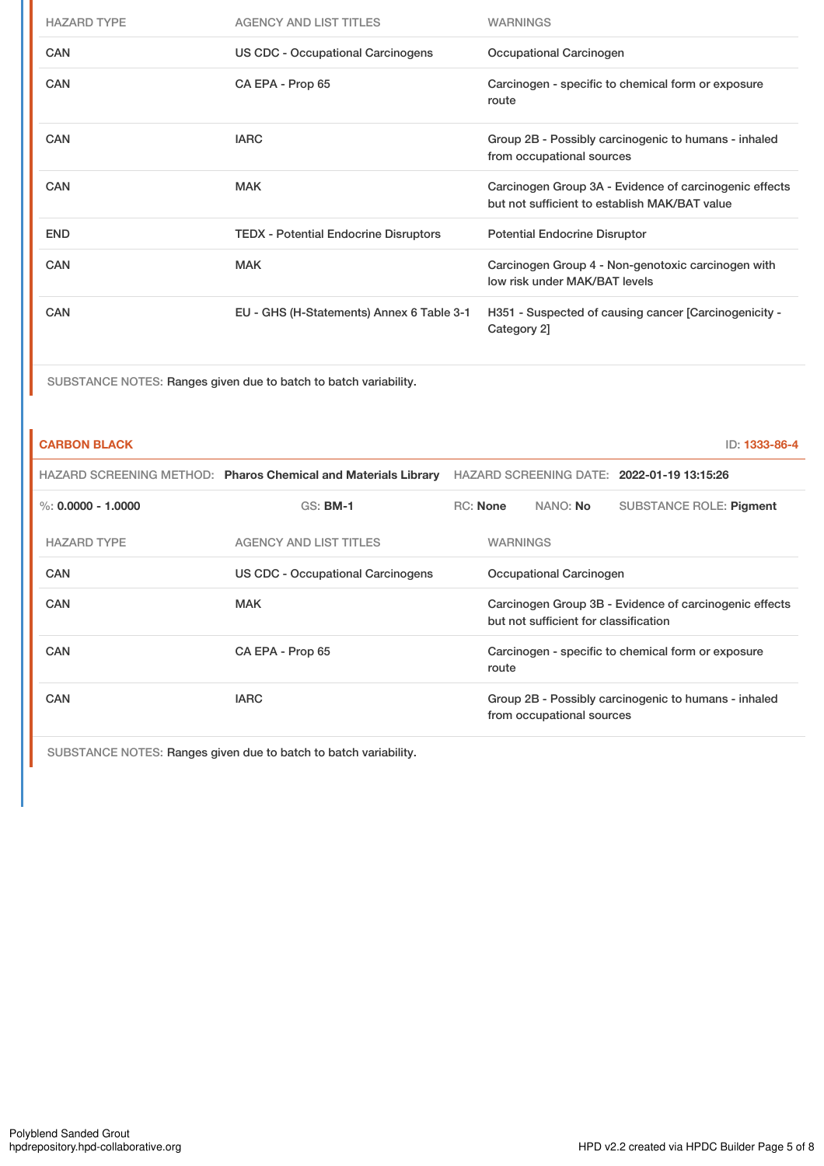| <b>HAZARD TYPE</b> | <b>AGENCY AND LIST TITLES</b>                | <b>WARNINGS</b>                                                                                         |
|--------------------|----------------------------------------------|---------------------------------------------------------------------------------------------------------|
| <b>CAN</b>         | US CDC - Occupational Carcinogens            | Occupational Carcinogen                                                                                 |
| <b>CAN</b>         | CA EPA - Prop 65                             | Carcinogen - specific to chemical form or exposure<br>route                                             |
| CAN                | <b>IARC</b>                                  | Group 2B - Possibly carcinogenic to humans - inhaled<br>from occupational sources                       |
| <b>CAN</b>         | <b>MAK</b>                                   | Carcinogen Group 3A - Evidence of carcinogenic effects<br>but not sufficient to establish MAK/BAT value |
| <b>END</b>         | <b>TEDX</b> - Potential Endocrine Disruptors | <b>Potential Endocrine Disruptor</b>                                                                    |
| CAN                | <b>MAK</b>                                   | Carcinogen Group 4 - Non-genotoxic carcinogen with<br>low risk under MAK/BAT levels                     |
| <b>CAN</b>         | EU - GHS (H-Statements) Annex 6 Table 3-1    | H351 - Suspected of causing cancer [Carcinogenicity -<br>Category 2]                                    |

SUBSTANCE NOTES: Ranges given due to batch to batch variability.

# **CARBON BLACK** ID: **1333-86-4**

|                      | HAZARD SCREENING METHOD: Pharos Chemical and Materials Library | HAZARD SCREENING DATE: 2022-01-19 13:15:26                                                      |  |  |                         |
|----------------------|----------------------------------------------------------------|-------------------------------------------------------------------------------------------------|--|--|-------------------------|
| %: $0.0000 - 1.0000$ | <b>GS: BM-1</b>                                                | RC: None<br>NANO: <b>No</b>                                                                     |  |  | SUBSTANCE ROLE: Pigment |
| <b>HAZARD TYPE</b>   | <b>AGENCY AND LIST TITLES</b>                                  | <b>WARNINGS</b>                                                                                 |  |  |                         |
| <b>CAN</b>           | <b>US CDC - Occupational Carcinogens</b>                       | <b>Occupational Carcinogen</b>                                                                  |  |  |                         |
| CAN                  | MAK                                                            | Carcinogen Group 3B - Evidence of carcinogenic effects<br>but not sufficient for classification |  |  |                         |
| <b>CAN</b>           | CA EPA - Prop 65                                               | Carcinogen - specific to chemical form or exposure<br>route                                     |  |  |                         |
| CAN                  | <b>IARC</b>                                                    | Group 2B - Possibly carcinogenic to humans - inhaled<br>from occupational sources               |  |  |                         |

SUBSTANCE NOTES: Ranges given due to batch to batch variability.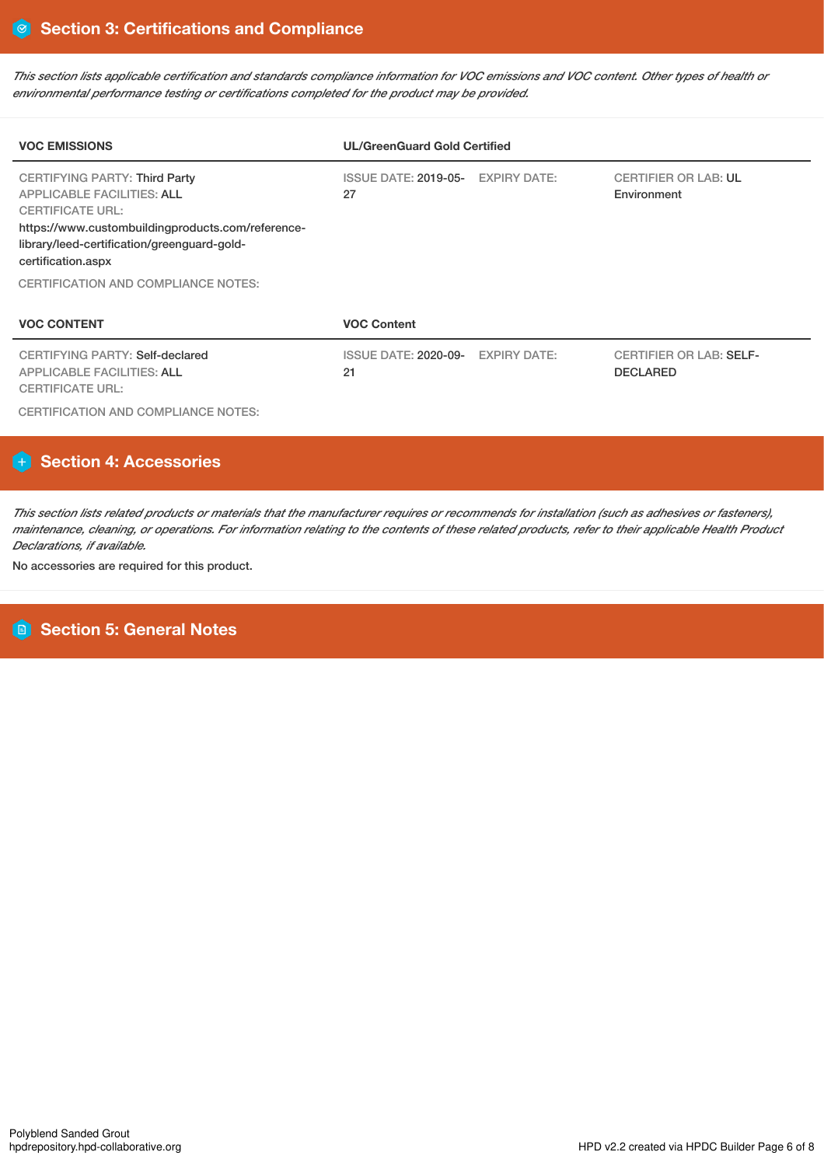This section lists applicable certification and standards compliance information for VOC emissions and VOC content. Other types of health or *environmental performance testing or certifications completed for the product may be provided.*

| <b>VOC EMISSIONS</b>                                                                                                                                                                                                           | <b>UL/GreenGuard Gold Certified</b>     |                     |                                                   |  |  |  |
|--------------------------------------------------------------------------------------------------------------------------------------------------------------------------------------------------------------------------------|-----------------------------------------|---------------------|---------------------------------------------------|--|--|--|
| <b>CERTIFYING PARTY: Third Party</b><br><b>APPLICABLE FACILITIES: ALL</b><br><b>CERTIFICATE URL:</b><br>https://www.custombuildingproducts.com/reference-<br>library/leed-certification/greenguard-gold-<br>certification.aspx | ISSUE DATE: 2019-05- EXPIRY DATE:<br>27 |                     | <b>CERTIFIER OR LAB: UL</b><br>Environment        |  |  |  |
| <b>CERTIFICATION AND COMPLIANCE NOTES:</b>                                                                                                                                                                                     |                                         |                     |                                                   |  |  |  |
| <b>VOC CONTENT</b>                                                                                                                                                                                                             | <b>VOC Content</b>                      |                     |                                                   |  |  |  |
| CERTIFYING PARTY: Self-declared<br><b>APPLICABLE FACILITIES: ALL</b><br><b>CERTIFICATE URL:</b>                                                                                                                                | ISSUE DATE: 2020-09-<br>21              | <b>EXPIRY DATE:</b> | <b>CERTIFIER OR LAB: SELF-</b><br><b>DECLARED</b> |  |  |  |

CERTIFICATION AND COMPLIANCE NOTES:

# **Section 4: Accessories**

This section lists related products or materials that the manufacturer requires or recommends for installation (such as adhesives or fasteners), maintenance, cleaning, or operations. For information relating to the contents of these related products, refer to their applicable Health Product *Declarations, if available.*

No accessories are required for this product.

# **Section 5: General Notes**